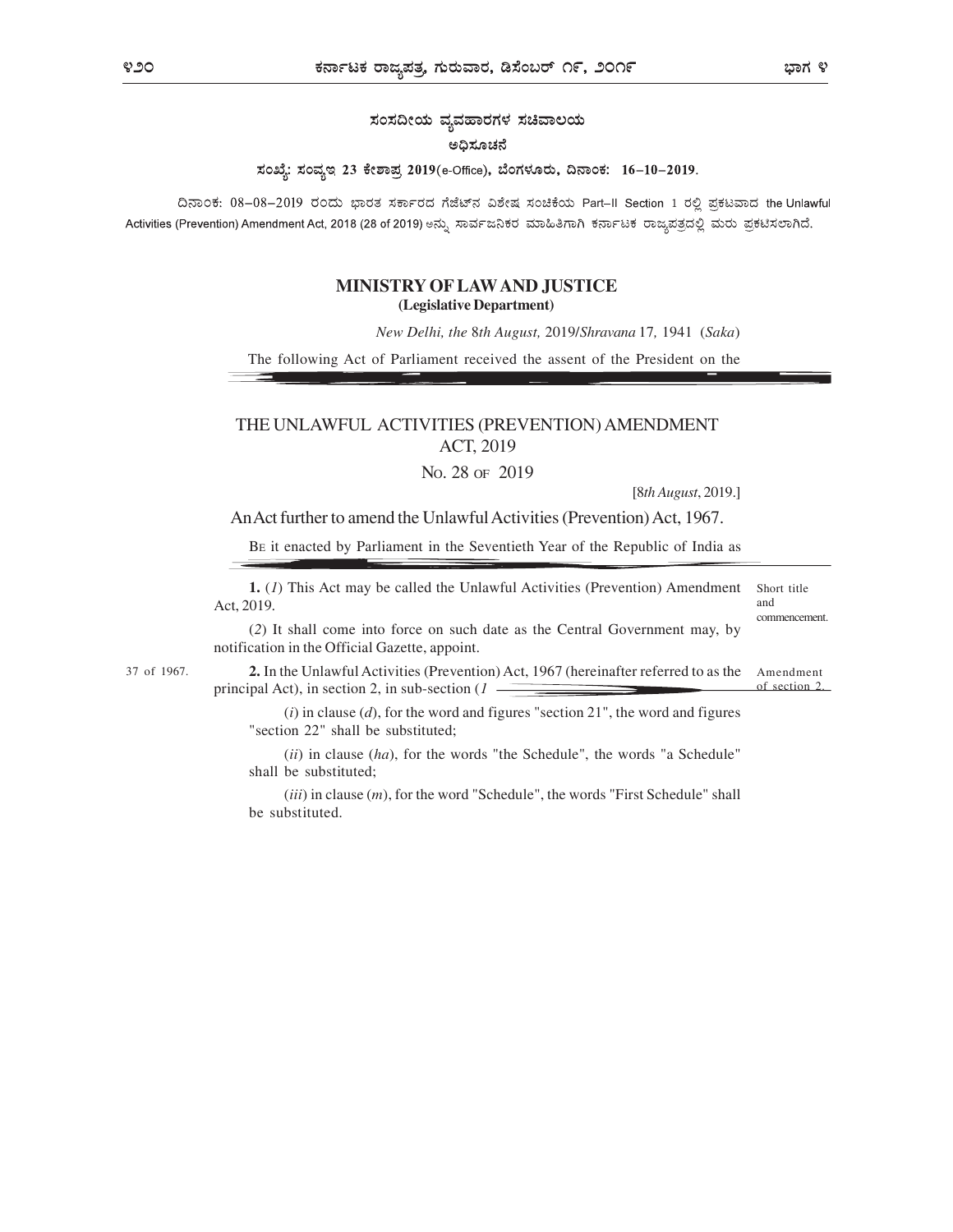# ಸಂಸದೀಯ ವ್ಯವಹಾರಗಳ ಸಚಿವಾಲಯ

#### ಅಧಿಸೂಚನೆ

## ಸಂಖ್ಯೆ: ಸಂವ್ಯಇ 23 ಕೇಶಾಪ್ರ 2019(e-Office), ಬೆಂಗಳೂರು, ದಿನಾಂಕ: 16-10-2019.

ದಿನಾಂಕ: 08-08-2019 ರಂದು ಭಾರತ ಸರ್ಕಾರದ ಗೆಜೆಟ್ನ ವಿಶೇಷ ಸಂಚಿಕೆಯ Part-II Section 1 ರಲ್ಲಿ ಪ್ರಕಟವಾದ the Unlawful Activities (Prevention) Amendment Act, 2018 (28 of 2019) ಅನ್ನು ಸಾರ್ವಜನಿಕರ ಮಾಹಿತಿಗಾಗಿ ಕರ್ನಾಟಕ ರಾಜ್ಯಪತ್ರದಲ್ಲಿ ಮರು ಪ್ರಕಟಿಸಲಾಗಿದೆ.

## MINISTRY OF LAW AND JUSTICE (Legislative Department)

New Delhi, the 8th August, 2019/Shravana 17, 1941 (Saka)

The following Act of Parliament received the assent of the President on the

## THE UNLAWFUL ACTIVITIES (PREVENTION) AMENDMENT ACT, 2019

NO. 28 OF 2019

[8th August, 2019.]

An Act further to amend the Unlawful Activities (Prevention) Act, 1967.

BE it enacted by Parliament in the Seventieth Year of the Republic of India as

| <b>1.</b> (1) This Act may be called the Unlawful Activities (Prevention) Amendment Short title |              |
|-------------------------------------------------------------------------------------------------|--------------|
| Act. 2019.                                                                                      | and          |
|                                                                                                 | commencement |

(2) It shall come into force on such date as the Central Government may, by notification in the Official Gazette, appoint.

37 of 1967. **2.** In the Unlawful Activities (Prevention) Act, 1967 (hereinafter referred to as the Amendment principal Act), in section 2, in sub-section  $(1 \tbinom{3}{1}$ principal Act), in section 2, in sub-section  $(1 -$ 

> $(i)$  in clause  $(d)$ , for the word and figures "section 21", the word and figures "section 22" shall be substituted;

> $(ii)$  in clause  $(ha)$ , for the words "the Schedule", the words "a Schedule" shall be substituted;

> $(iii)$  in clause  $(m)$ , for the word "Schedule", the words "First Schedule" shall be substituted.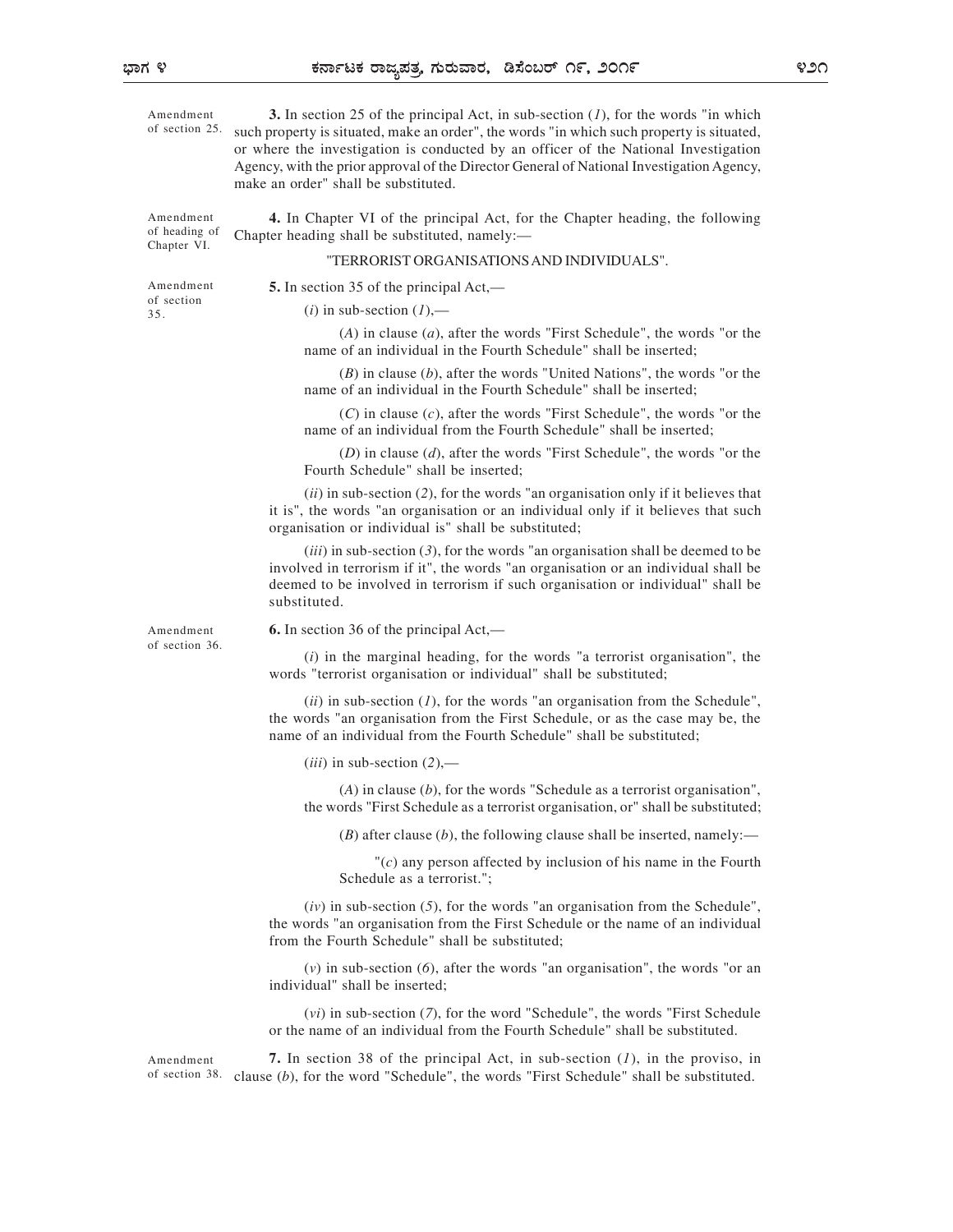Amendment 3. In section 25 of the principal Act, in sub-section  $(I)$ , for the words "in which of section 25. such property is situated, make an order", the words "in which such property is situated, or where the investigation is conducted by an officer of the National Investigation Agency, with the prior approval of the Director General of National Investigation Agency, make an order" shall be substituted.

Chapter VI.

Amendment 4. In Chapter VI of the principal Act, for the Chapter heading, the following of heading of Chapter heading shall be substituted, namely:—

#### "TERRORIST ORGANISATIONS AND INDIVIDUALS".

of section 35.

Amendment 5. In section 35 of the principal Act,—

 $(i)$  in sub-section  $(I)$ ,-

 $(A)$  in clause  $(a)$ , after the words "First Schedule", the words "or the name of an individual in the Fourth Schedule" shall be inserted;

 $(B)$  in clause  $(b)$ , after the words "United Nations", the words "or the name of an individual in the Fourth Schedule" shall be inserted;

 $(C)$  in clause  $(c)$ , after the words "First Schedule", the words "or the name of an individual from the Fourth Schedule" shall be inserted;

 $(D)$  in clause  $(d)$ , after the words "First Schedule", the words "or the Fourth Schedule" shall be inserted;

 $(ii)$  in sub-section (2), for the words "an organisation only if it believes that it is", the words "an organisation or an individual only if it believes that such organisation or individual is" shall be substituted;

 $(iii)$  in sub-section  $(3)$ , for the words "an organisation shall be deemed to be involved in terrorism if it", the words "an organisation or an individual shall be deemed to be involved in terrorism if such organisation or individual" shall be substituted.

of section 36.

Amendment **6.** In section 36 of the principal  $Act$ ,  $\rightarrow$ 

 $(i)$  in the marginal heading, for the words "a terrorist organisation", the words "terrorist organisation or individual" shall be substituted;

(ii) in sub-section  $(1)$ , for the words "an organisation from the Schedule", the words "an organisation from the First Schedule, or as the case may be, the name of an individual from the Fourth Schedule" shall be substituted;

 $(iii)$  in sub-section  $(2)$ ,—

 $(A)$  in clause  $(b)$ , for the words "Schedule as a terrorist organisation", the words "First Schedule as a terrorist organisation, or" shall be substituted;

(B) after clause (b), the following clause shall be inserted, namely:—

 $\Gamma(c)$  any person affected by inclusion of his name in the Fourth Schedule as a terrorist.";

 $(iv)$  in sub-section  $(5)$ , for the words "an organisation from the Schedule", the words "an organisation from the First Schedule or the name of an individual from the Fourth Schedule" shall be substituted;

 $(v)$  in sub-section  $(6)$ , after the words "an organisation", the words "or an individual" shall be inserted;

(vi) in sub-section (7), for the word "Schedule", the words "First Schedule or the name of an individual from the Fourth Schedule" shall be substituted.

Amendment **7.** In section 38 of the principal Act, in sub-section  $(I)$ , in the proviso, in clause (b), for the word "Schedule", the words "First Schedule" shall be substituted. of section 38.